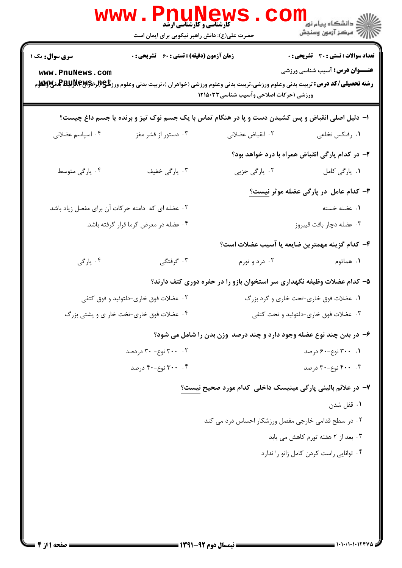| <b>سری سوال :</b> یک ۱<br>www.PnuNews.com         | زمان آزمون (دقیقه) : تستی : 60 ٪ تشریحی : 0 | ورزشی (حرکات اصلاحی وآسیب شناسی۱۲۱۵۰۳۳ | <b>تعداد سوالات : تستی : 30 ٪ تشریحی : 0</b><br><b>عنـــوان درس:</b> آسیب شناسی ورزشی<br><b>رشته تحصیلی/کد درس:</b> تربیت بدنی وعلوم ورزشی،تربیت بدنی وعلوم ورزشی (خواهران )،تربیت بدنی وعلوم ورز <b>شگی(ببرادگلیلتالبلیتالپلیتال</b> لله می |  |
|---------------------------------------------------|---------------------------------------------|----------------------------------------|----------------------------------------------------------------------------------------------------------------------------------------------------------------------------------------------------------------------------------------------|--|
|                                                   |                                             |                                        | ۱– دلیل اصلی انقباض و پس کشیدن دست و پا در هنگام تماس با یک جسم نوک تیز و برنده یا جسم داغ چیست؟                                                                                                                                             |  |
| ۰۴ اسپاسم عضلانی                                  | ۰۳ دستور از قشر مغز                         | ۰۲ انقباض عضلانی                       | ۰۱ رفلکس نخاعی                                                                                                                                                                                                                               |  |
|                                                   |                                             |                                        | ۲- در کدام پارگی انقباض همراه با درد خواهد بود؟                                                                                                                                                                                              |  |
| ۰۴ پارگی متوسط                                    | ۰۳ پارگی خفیف                               | ۰۲ پارگی جزیی                          | ۰۱ پارگی کامل                                                                                                                                                                                                                                |  |
|                                                   |                                             |                                        | <b>۳</b> – کدام عامل در پارگی عضله موثر نیست؟                                                                                                                                                                                                |  |
| ۰۲ عضله ای که  دامنه حرکات آن برای مفصل زیاد باشد |                                             |                                        | ۰۱ عضله خسته                                                                                                                                                                                                                                 |  |
|                                                   | ۰۴ عضله در معرض گرما قرار گرفته باشد.       |                                        | ۰۳ عضله دچار بافت قيبروز                                                                                                                                                                                                                     |  |
|                                                   |                                             |                                        | ۴– کدام گزینه مهمترین ضایعه یا آسیب عضلات است؟                                                                                                                                                                                               |  |
| ۰۴ پارگی                                          | ۰۳ گرفتگی                                   | ۰۲ درد و تورم                          | ۰۱ هماتوم                                                                                                                                                                                                                                    |  |
|                                                   |                                             |                                        | ۵– کدام عضلات وظیفه نگهداری سر استخوان بازو را در حفره دوری کتف دارند؟                                                                                                                                                                       |  |
| ۰۲ عضلات فوق خاری-دلتوئید و فوق کتفی              |                                             | ۰۱ عضلات فوق خاري-تحت خاري و گرد بزرگ  |                                                                                                                                                                                                                                              |  |
| ۰۴ عضلات فوق خاری-تخت خار ی و پشتی بزرگ           |                                             | ۰۳ عضلات فوق خاری-دلتوئید و تحت کتفی   |                                                                                                                                                                                                                                              |  |
|                                                   |                                             |                                        | ۶- در بدن چند نوع عضله وجود دارد و چند درصد وزن بدن را شامل می شود؟                                                                                                                                                                          |  |
|                                                   | ۰۲ . ۳۰۰ نوع- ۳۰ دردصد                      |                                        | ۰۱ ۳۰۰ نوع-۶۰ درصد                                                                                                                                                                                                                           |  |
|                                                   | ۰۴ نوع-۴۰ درصد                              |                                        | ۴۰۰ . ۴۰۰ نوع-۳۰ درصد                                                                                                                                                                                                                        |  |
|                                                   |                                             |                                        | ۷- در علائم بالینی پارگی مینیسک داخلی کدام مورد صحیح نیست؟                                                                                                                                                                                   |  |
|                                                   |                                             |                                        | ۰۱ قفل شدن                                                                                                                                                                                                                                   |  |
|                                                   |                                             |                                        | ۰۲ در سطح قدامی خارجی مفصل ورزشکار احساس درد می کند                                                                                                                                                                                          |  |
|                                                   |                                             |                                        | ۰۳ بعد از ۲ هفته تورم کاهش می یابد                                                                                                                                                                                                           |  |
|                                                   |                                             |                                        | ۰۴ توانایی راست کردن کامل زانو را ندارد                                                                                                                                                                                                      |  |
|                                                   |                                             |                                        |                                                                                                                                                                                                                                              |  |
|                                                   |                                             |                                        |                                                                                                                                                                                                                                              |  |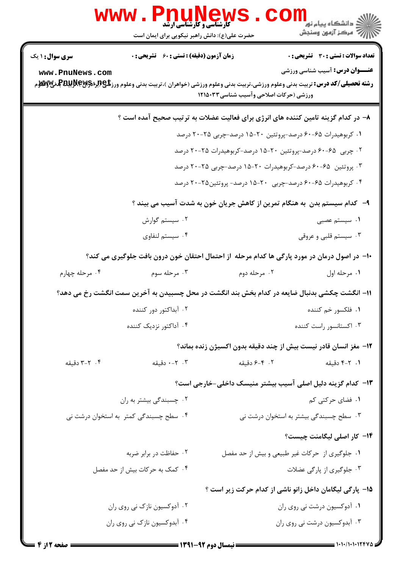|                        | <b>WWW</b><br><b>ve PINUNEW</b><br>کارشناسی و کارشناسی ارشد<br>حضرت علی(ع): دانش راهبر نیکویی برای ایمان است |                                        | لاد دانشگاه پيام نور <mark>-</mark><br>الا - مرکز آزمون وسنجش                                 |
|------------------------|--------------------------------------------------------------------------------------------------------------|----------------------------------------|-----------------------------------------------------------------------------------------------|
| <b>سری سوال :</b> ۱ یک | <b>زمان آزمون (دقیقه) : تستی : 60 ٪ تشریحی : 0</b>                                                           |                                        | <b>تعداد سوالات : تستی : 30 ٪ تشریحی : 0</b>                                                  |
| www.PnuNews.com        |                                                                                                              | ورزشی (حرکات اصلاحی وآسیب شناسی۱۲۱۵۰۳۳ | <b>عنـــوان درس:</b> آسیب شناسی ورزشی                                                         |
|                        |                                                                                                              |                                        | ۸– در کدام گزینه تامین کننده های انرژی برای فعالیت عضلات به ترتیب صحیح آمده است ؟             |
|                        |                                                                                                              |                                        | ۰۱ کربوهیدرات ۶۵-۶۰ درصد-پروتئین ۲۰-۱۵ درصد-چربی ۲۵-۲۰ درصد                                   |
|                        |                                                                                                              |                                        | ۰۲ چربی ۶۰-۶۰ درصد-پروتئین ۲۰-۱۵ درصد-کربوهیدرات ۲۵-۲۰ درصد                                   |
|                        |                                                                                                              |                                        | ۰۳ پروتئین ۶۵-۶۰ درصد-کربوهیدرات ۲۰-۱۵ درصد-چربی ۲۵-۲۰ درصد                                   |
|                        |                                                                                                              |                                        | ۰۴ کربوهیدرات ۶۵-۶۰ درصد-چربی ۲۰-۱۵ درصد- پروتئین۲۵-۲۰ درصد                                   |
|                        |                                                                                                              |                                        | ۹– کدام سیستم بدن به هنگام تمرین از کاهش جریان خون به شدت آسیب می بیند ؟                      |
|                        | ۰۲ سیستم گوارش                                                                                               |                                        | ۰۱ سیستم عصبی                                                                                 |
|                        | ۰۴ سیستم لنفاوی                                                                                              |                                        | ۰۳ سیستم قلبی و عروقی                                                                         |
|                        |                                                                                                              |                                        | ∙ا− در اصول درمان در مورد پارگی ها کدام مرحله ∫ز احتمال احتقان خون درون بافت جلوگیری می کند؟  |
| ۰۴ مرحله چهارم         | ۰۳ مرحله سوم                                                                                                 | ۰۲ مرحله دوم                           | ٠١ مرحله اول                                                                                  |
|                        |                                                                                                              |                                        | 1۱– انگشت چکشی بدنبال ضایعه در کدام بخش بند انگشت در محل چسبیدن به آخرین سمت انگشت رخ می دهد؟ |
|                        | ۰۲ آبداکتور دور کننده                                                                                        |                                        | ۰۱ فلکسور خم کننده                                                                            |
|                        | ۰۴ آداکتور نزدیک کننده                                                                                       |                                        | ۰۳ اکستانسور راست کننده                                                                       |
|                        |                                                                                                              |                                        | 1۲- مغز انسان قادر نیست بیش از چند دقیقه بدون اکسیژن زنده بماند؟                              |
| ۰۴ - ۳-۳ دقیقه         | ۰-۲ دقیقه                                                                                                    | ۰۲ - ۶-۶ دقیقه                         | ۰۱ - ۴-۴ دقیقه                                                                                |
|                        |                                                                                                              |                                        | ۱۳- کدام گزینه دلیل اصلی آسیب بیشتر منیسک داخلی-خارجی است؟                                    |
|                        | ۰۲ چسبندگی بیشتر به ران                                                                                      |                                        | ۰۱ فضای حرکتی کم                                                                              |
|                        | ۰۴ سطح چسبندگی کمتر به استخوان درشت نی                                                                       |                                        | ۰۳ سطح چسبندگی بیشتر به استخوان درشت نی                                                       |
|                        |                                                                                                              |                                        | ۱۴- کار اصلی لیگامنت چیست؟                                                                    |
|                        | ۰۲ حفاظت در برابر ضربه                                                                                       |                                        | ۰۱ جلوگیری از حرکات غیر طبیعی و بیش از حد مفصل                                                |
|                        | ۰۴ کمک به حرکات بیش از حد مفصل                                                                               |                                        | ۰۳ جلوگیری از پارگی عضلات                                                                     |
|                        |                                                                                                              |                                        | ۱۵– پارگی لیگامان داخل زانو ناشی از کدام حرکت زیر است ؟                                       |
|                        | ۰۲ آدوکسیون نازک نی روی ران                                                                                  |                                        | ۰۱ آدوکسیون درشت نی روی ران                                                                   |
|                        | ۰۴ آبدوکسیون نازک نی روی ران                                                                                 |                                        | ٠٣ آبدوکسيون درشت ني روي ران                                                                  |
|                        |                                                                                                              |                                        |                                                                                               |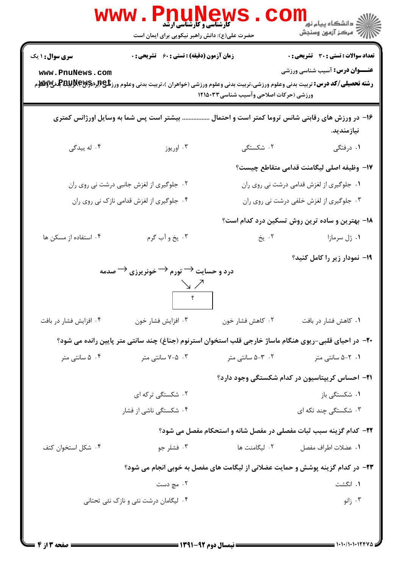|                                           |                                                                                                | حضرت علی(ع): دانش راهبر نیکویی برای ایمان است                                                                                                       | ر آمرڪز آزمون وسنڊش                                                                   |
|-------------------------------------------|------------------------------------------------------------------------------------------------|-----------------------------------------------------------------------------------------------------------------------------------------------------|---------------------------------------------------------------------------------------|
| <b>سری سوال :</b> ۱ یک<br>www.PnuNews.com | <b>زمان آزمون (دقیقه) : تستی : 60 ٪ تشریحی : 0</b>                                             | <b>رشته تحصیلی/کد درس:</b> تربیت بدنی وعلوم ورزشی،تربیت بدنی وعلوم ورزشی (خواهران )،تربیت بدنی وعلوم ورز <b>شیپرتوپراچولپلېلېلېلېلېله به مو</b> لوم | <b>تعداد سوالات : تستي : 30 ٪ تشريحي : 0</b><br><b>عنـــوان درس:</b> آسیب شناسی ورزشی |
|                                           |                                                                                                | ورزشی (حرکات اصلاحی وآسیب شناسی۱۲۱۵۰۳۳                                                                                                              |                                                                                       |
|                                           |                                                                                                | ۱۶– در ورزش های رقابتی شانس تروما کمتر است و احتمال  بیشتر است پس شما به وسایل اورژانس کمتری                                                        | نيازمنديد.                                                                            |
| ۰۴ له پیدگی                               | ۰۳ اوريوز                                                                                      | ۲. شکستگی                                                                                                                                           | ۱. درفتگی                                                                             |
|                                           |                                                                                                |                                                                                                                                                     | I <b>۷− وظیفه اصلی لیگامنت قدامی متقاطع چیست</b> ؟                                    |
|                                           | ۰۲ جلوگیری از لغزش جانبی درشت نی روی ران                                                       |                                                                                                                                                     | ٠١. جلوگیری از لغزش قدامی درشت نی روی ران                                             |
|                                           | ۰۴ جلوگیری از لغزش قدامی نازک نی روی ران                                                       |                                                                                                                                                     | ۰۳ جلوگیری از لغزش خلفی درشت نی روی ران                                               |
|                                           |                                                                                                |                                                                                                                                                     | 18- بهترین و ساده ترین روش تسکین درد کدام است؟                                        |
| ۰۴ استفاده از مسکن ها                     | ۰۳ يخ و آب گرم                                                                                 | ۰۲ يخ                                                                                                                                               | ۰۱ ژل سرمازا                                                                          |
|                                           |                                                                                                |                                                                                                                                                     | 19- نمودار زیر را کامل کنید؟                                                          |
| ۰۴ افزایش فشار در بافت                    | درد و حسایت $\rightarrow$ تورم $\rightarrow$ خونریرزی $\rightarrow$ صدمه<br>۰۳ افزایش فشار خون | ۰۲ کاهش فشار خون                                                                                                                                    | ۰۱ کاهش فشار در بافت                                                                  |
|                                           |                                                                                                | +۲- در احیای قلبی-ریوی هنگام ماساژ خارجی قلب استخوان استرنوم (جناغ) چند سانتی متر پایین رانده می شود؟                                               |                                                                                       |
| ۰۴ سانتی متر                              | ۰۳ ه-۷ سانتی متر                                                                               | ۰۲ - ۵-۵ سانتی متر                                                                                                                                  | ۰۱ - ۵-۵ سانتی متر                                                                    |
|                                           |                                                                                                |                                                                                                                                                     | <b>۲۱</b> – احساس کریپتاسیون در کدام شکستگی وجود دارد؟                                |
|                                           | ۰۲ شکستگی ترکه ای                                                                              |                                                                                                                                                     | ۰۱ شکستگی باز                                                                         |
|                                           | ۰۴ شکستگی ناشی از فشار                                                                         |                                                                                                                                                     | ۰۳ شکست <i>گی چ</i> ند تکه ای                                                         |
|                                           |                                                                                                | ۲۲- کدام گزینه سبب ثبات مفصلی در مفصل شانه و استحکام مفصل می شود؟                                                                                   |                                                                                       |
| ۰۴ شکل استخوان کتف                        | ۰۳ فشلر جو                                                                                     | ۰۲ لیگامنت ها                                                                                                                                       | ٠١. عضلات اطراف مفصل                                                                  |
|                                           |                                                                                                | ۲۳- در کدام گزینه پوشش و حمایت عضلانی از لیگامت های مفصل به خوبی انجام می شود؟                                                                      |                                                                                       |
|                                           | ۰۲ مچ دست                                                                                      |                                                                                                                                                     | ۰۱ انگشت                                                                              |
|                                           |                                                                                                |                                                                                                                                                     |                                                                                       |